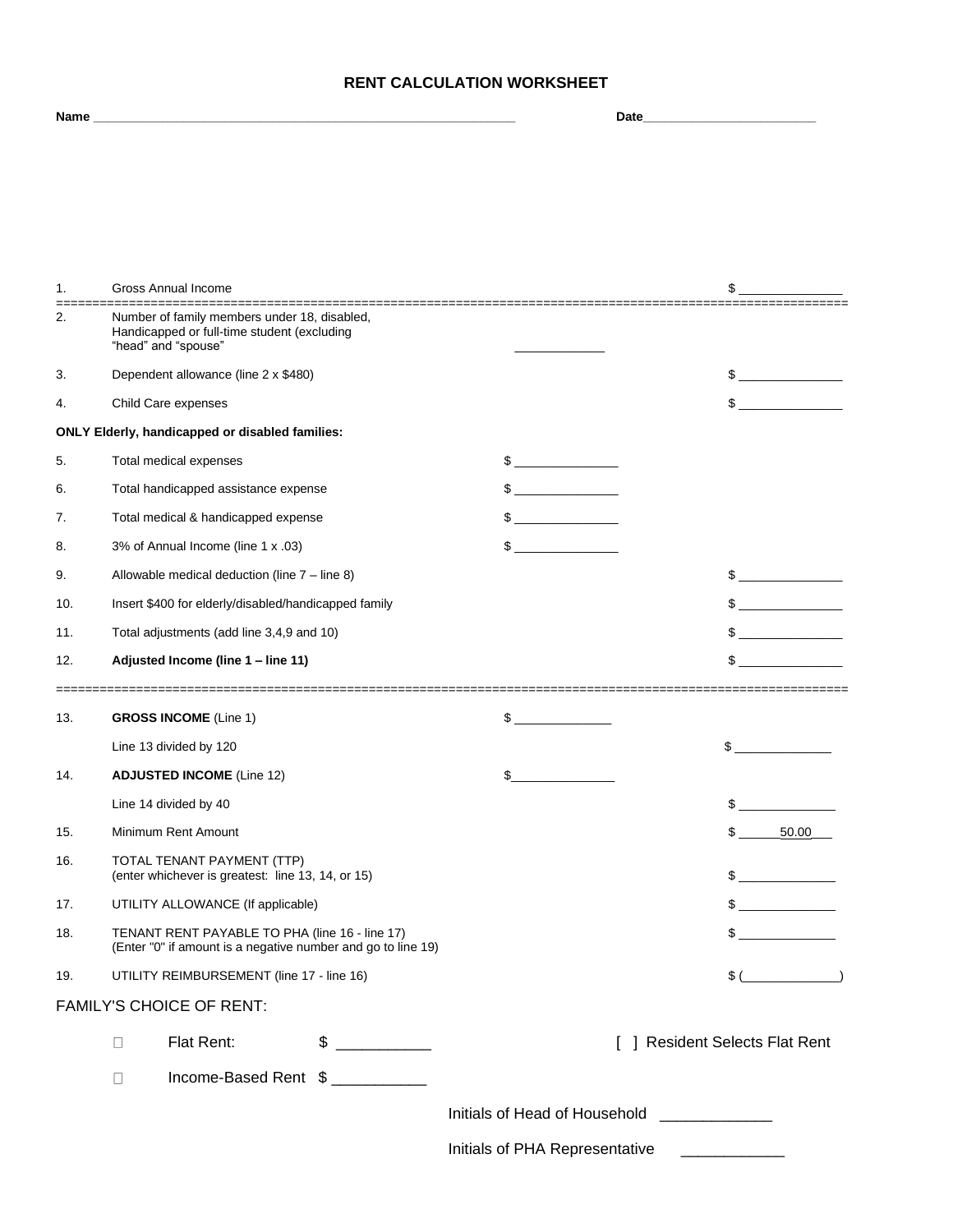## **RENT CALCULATION WORKSHEET**

| <b>Gross Annual Income</b><br>1.<br>\$<br>===================<br>2.<br>Number of family members under 18, disabled,<br>Handicapped or full-time student (excluding<br>"head" and "spouse"<br>3.<br>Dependent allowance (line 2 x \$480)<br>4.<br>Child Care expenses<br>ONLY Elderly, handicapped or disabled families:<br>5.<br>Total medical expenses<br>$\frac{1}{2}$<br>$\frac{1}{2}$<br>6.<br>Total handicapped assistance expense<br>Total medical & handicapped expense<br>\$<br>7.<br>\$<br>3% of Annual Income (line 1 x .03)<br>8.<br>9.<br>Allowable medical deduction (line $7 -$ line 8)<br>Insert \$400 for elderly/disabled/handicapped family<br>10.<br>11.<br>Total adjustments (add line 3,4,9 and 10)<br>Adjusted Income (line 1 - line 11)<br>12.<br>13.<br><b>GROSS INCOME</b> (Line 1)<br>\$<br>Line 13 divided by 120<br>\$<br>14.<br><b>ADJUSTED INCOME (Line 12)</b><br>\$<br>Line 14 divided by 40<br>15.<br>Minimum Rent Amount<br>$\mathbb{S}$<br>50.00<br>16.<br>TOTAL TENANT PAYMENT (TTP)<br>(enter whichever is greatest: line 13, 14, or 15)<br>17.<br>UTILITY ALLOWANCE (If applicable)<br>18.<br>TENANT RENT PAYABLE TO PHA (line 16 - line 17)<br>(Enter "0" if amount is a negative number and go to line 19)<br>UTILITY REIMBURSEMENT (line 17 - line 16)<br>19. | Name |  |  |  | Date |  |                                                                                                                                                                                                                                                                                                                                                                     |  |
|--------------------------------------------------------------------------------------------------------------------------------------------------------------------------------------------------------------------------------------------------------------------------------------------------------------------------------------------------------------------------------------------------------------------------------------------------------------------------------------------------------------------------------------------------------------------------------------------------------------------------------------------------------------------------------------------------------------------------------------------------------------------------------------------------------------------------------------------------------------------------------------------------------------------------------------------------------------------------------------------------------------------------------------------------------------------------------------------------------------------------------------------------------------------------------------------------------------------------------------------------------------------------------------------------------|------|--|--|--|------|--|---------------------------------------------------------------------------------------------------------------------------------------------------------------------------------------------------------------------------------------------------------------------------------------------------------------------------------------------------------------------|--|
|                                                                                                                                                                                                                                                                                                                                                                                                                                                                                                                                                                                                                                                                                                                                                                                                                                                                                                                                                                                                                                                                                                                                                                                                                                                                                                        |      |  |  |  |      |  |                                                                                                                                                                                                                                                                                                                                                                     |  |
|                                                                                                                                                                                                                                                                                                                                                                                                                                                                                                                                                                                                                                                                                                                                                                                                                                                                                                                                                                                                                                                                                                                                                                                                                                                                                                        |      |  |  |  |      |  |                                                                                                                                                                                                                                                                                                                                                                     |  |
|                                                                                                                                                                                                                                                                                                                                                                                                                                                                                                                                                                                                                                                                                                                                                                                                                                                                                                                                                                                                                                                                                                                                                                                                                                                                                                        |      |  |  |  |      |  |                                                                                                                                                                                                                                                                                                                                                                     |  |
|                                                                                                                                                                                                                                                                                                                                                                                                                                                                                                                                                                                                                                                                                                                                                                                                                                                                                                                                                                                                                                                                                                                                                                                                                                                                                                        |      |  |  |  |      |  |                                                                                                                                                                                                                                                                                                                                                                     |  |
|                                                                                                                                                                                                                                                                                                                                                                                                                                                                                                                                                                                                                                                                                                                                                                                                                                                                                                                                                                                                                                                                                                                                                                                                                                                                                                        |      |  |  |  |      |  |                                                                                                                                                                                                                                                                                                                                                                     |  |
|                                                                                                                                                                                                                                                                                                                                                                                                                                                                                                                                                                                                                                                                                                                                                                                                                                                                                                                                                                                                                                                                                                                                                                                                                                                                                                        |      |  |  |  |      |  |                                                                                                                                                                                                                                                                                                                                                                     |  |
|                                                                                                                                                                                                                                                                                                                                                                                                                                                                                                                                                                                                                                                                                                                                                                                                                                                                                                                                                                                                                                                                                                                                                                                                                                                                                                        |      |  |  |  |      |  |                                                                                                                                                                                                                                                                                                                                                                     |  |
|                                                                                                                                                                                                                                                                                                                                                                                                                                                                                                                                                                                                                                                                                                                                                                                                                                                                                                                                                                                                                                                                                                                                                                                                                                                                                                        |      |  |  |  |      |  | $\begin{picture}(20,20) \put(0,0){\vector(1,0){100}} \put(15,0){\vector(1,0){100}} \put(15,0){\vector(1,0){100}} \put(15,0){\vector(1,0){100}} \put(15,0){\vector(1,0){100}} \put(15,0){\vector(1,0){100}} \put(15,0){\vector(1,0){100}} \put(15,0){\vector(1,0){100}} \put(15,0){\vector(1,0){100}} \put(15,0){\vector(1,0){100}} \put(15,0){\vector(1,0){100}} \$ |  |
|                                                                                                                                                                                                                                                                                                                                                                                                                                                                                                                                                                                                                                                                                                                                                                                                                                                                                                                                                                                                                                                                                                                                                                                                                                                                                                        |      |  |  |  |      |  | $\frac{1}{2}$                                                                                                                                                                                                                                                                                                                                                       |  |
|                                                                                                                                                                                                                                                                                                                                                                                                                                                                                                                                                                                                                                                                                                                                                                                                                                                                                                                                                                                                                                                                                                                                                                                                                                                                                                        |      |  |  |  |      |  |                                                                                                                                                                                                                                                                                                                                                                     |  |
|                                                                                                                                                                                                                                                                                                                                                                                                                                                                                                                                                                                                                                                                                                                                                                                                                                                                                                                                                                                                                                                                                                                                                                                                                                                                                                        |      |  |  |  |      |  |                                                                                                                                                                                                                                                                                                                                                                     |  |
|                                                                                                                                                                                                                                                                                                                                                                                                                                                                                                                                                                                                                                                                                                                                                                                                                                                                                                                                                                                                                                                                                                                                                                                                                                                                                                        |      |  |  |  |      |  |                                                                                                                                                                                                                                                                                                                                                                     |  |
|                                                                                                                                                                                                                                                                                                                                                                                                                                                                                                                                                                                                                                                                                                                                                                                                                                                                                                                                                                                                                                                                                                                                                                                                                                                                                                        |      |  |  |  |      |  |                                                                                                                                                                                                                                                                                                                                                                     |  |
|                                                                                                                                                                                                                                                                                                                                                                                                                                                                                                                                                                                                                                                                                                                                                                                                                                                                                                                                                                                                                                                                                                                                                                                                                                                                                                        |      |  |  |  |      |  |                                                                                                                                                                                                                                                                                                                                                                     |  |
|                                                                                                                                                                                                                                                                                                                                                                                                                                                                                                                                                                                                                                                                                                                                                                                                                                                                                                                                                                                                                                                                                                                                                                                                                                                                                                        |      |  |  |  |      |  | $\frac{1}{2}$                                                                                                                                                                                                                                                                                                                                                       |  |
|                                                                                                                                                                                                                                                                                                                                                                                                                                                                                                                                                                                                                                                                                                                                                                                                                                                                                                                                                                                                                                                                                                                                                                                                                                                                                                        |      |  |  |  |      |  | $\frac{1}{2}$                                                                                                                                                                                                                                                                                                                                                       |  |
|                                                                                                                                                                                                                                                                                                                                                                                                                                                                                                                                                                                                                                                                                                                                                                                                                                                                                                                                                                                                                                                                                                                                                                                                                                                                                                        |      |  |  |  |      |  | $\frac{1}{2}$                                                                                                                                                                                                                                                                                                                                                       |  |
|                                                                                                                                                                                                                                                                                                                                                                                                                                                                                                                                                                                                                                                                                                                                                                                                                                                                                                                                                                                                                                                                                                                                                                                                                                                                                                        |      |  |  |  |      |  | $\mathbb{S}$                                                                                                                                                                                                                                                                                                                                                        |  |
|                                                                                                                                                                                                                                                                                                                                                                                                                                                                                                                                                                                                                                                                                                                                                                                                                                                                                                                                                                                                                                                                                                                                                                                                                                                                                                        |      |  |  |  |      |  |                                                                                                                                                                                                                                                                                                                                                                     |  |
|                                                                                                                                                                                                                                                                                                                                                                                                                                                                                                                                                                                                                                                                                                                                                                                                                                                                                                                                                                                                                                                                                                                                                                                                                                                                                                        |      |  |  |  |      |  |                                                                                                                                                                                                                                                                                                                                                                     |  |
|                                                                                                                                                                                                                                                                                                                                                                                                                                                                                                                                                                                                                                                                                                                                                                                                                                                                                                                                                                                                                                                                                                                                                                                                                                                                                                        |      |  |  |  |      |  |                                                                                                                                                                                                                                                                                                                                                                     |  |
|                                                                                                                                                                                                                                                                                                                                                                                                                                                                                                                                                                                                                                                                                                                                                                                                                                                                                                                                                                                                                                                                                                                                                                                                                                                                                                        |      |  |  |  |      |  |                                                                                                                                                                                                                                                                                                                                                                     |  |
|                                                                                                                                                                                                                                                                                                                                                                                                                                                                                                                                                                                                                                                                                                                                                                                                                                                                                                                                                                                                                                                                                                                                                                                                                                                                                                        |      |  |  |  |      |  |                                                                                                                                                                                                                                                                                                                                                                     |  |
|                                                                                                                                                                                                                                                                                                                                                                                                                                                                                                                                                                                                                                                                                                                                                                                                                                                                                                                                                                                                                                                                                                                                                                                                                                                                                                        |      |  |  |  |      |  |                                                                                                                                                                                                                                                                                                                                                                     |  |
|                                                                                                                                                                                                                                                                                                                                                                                                                                                                                                                                                                                                                                                                                                                                                                                                                                                                                                                                                                                                                                                                                                                                                                                                                                                                                                        |      |  |  |  |      |  | $\frac{1}{2}$                                                                                                                                                                                                                                                                                                                                                       |  |
|                                                                                                                                                                                                                                                                                                                                                                                                                                                                                                                                                                                                                                                                                                                                                                                                                                                                                                                                                                                                                                                                                                                                                                                                                                                                                                        |      |  |  |  |      |  | $\frac{1}{2}$                                                                                                                                                                                                                                                                                                                                                       |  |
|                                                                                                                                                                                                                                                                                                                                                                                                                                                                                                                                                                                                                                                                                                                                                                                                                                                                                                                                                                                                                                                                                                                                                                                                                                                                                                        |      |  |  |  |      |  | $\frac{1}{2}$                                                                                                                                                                                                                                                                                                                                                       |  |
|                                                                                                                                                                                                                                                                                                                                                                                                                                                                                                                                                                                                                                                                                                                                                                                                                                                                                                                                                                                                                                                                                                                                                                                                                                                                                                        |      |  |  |  |      |  | $\text{\$ }(\underline{\hspace{2cm}})$                                                                                                                                                                                                                                                                                                                              |  |
| <b>FAMILY'S CHOICE OF RENT:</b>                                                                                                                                                                                                                                                                                                                                                                                                                                                                                                                                                                                                                                                                                                                                                                                                                                                                                                                                                                                                                                                                                                                                                                                                                                                                        |      |  |  |  |      |  |                                                                                                                                                                                                                                                                                                                                                                     |  |
| $\frac{1}{2}$<br>Flat Rent:<br>[ ] Resident Selects Flat Rent<br>$\Box$                                                                                                                                                                                                                                                                                                                                                                                                                                                                                                                                                                                                                                                                                                                                                                                                                                                                                                                                                                                                                                                                                                                                                                                                                                |      |  |  |  |      |  |                                                                                                                                                                                                                                                                                                                                                                     |  |
| Income-Based Rent \$<br>$\Box$                                                                                                                                                                                                                                                                                                                                                                                                                                                                                                                                                                                                                                                                                                                                                                                                                                                                                                                                                                                                                                                                                                                                                                                                                                                                         |      |  |  |  |      |  |                                                                                                                                                                                                                                                                                                                                                                     |  |
| Initials of Head of Household                                                                                                                                                                                                                                                                                                                                                                                                                                                                                                                                                                                                                                                                                                                                                                                                                                                                                                                                                                                                                                                                                                                                                                                                                                                                          |      |  |  |  |      |  |                                                                                                                                                                                                                                                                                                                                                                     |  |

Initials of PHA Representative \_\_\_\_\_\_